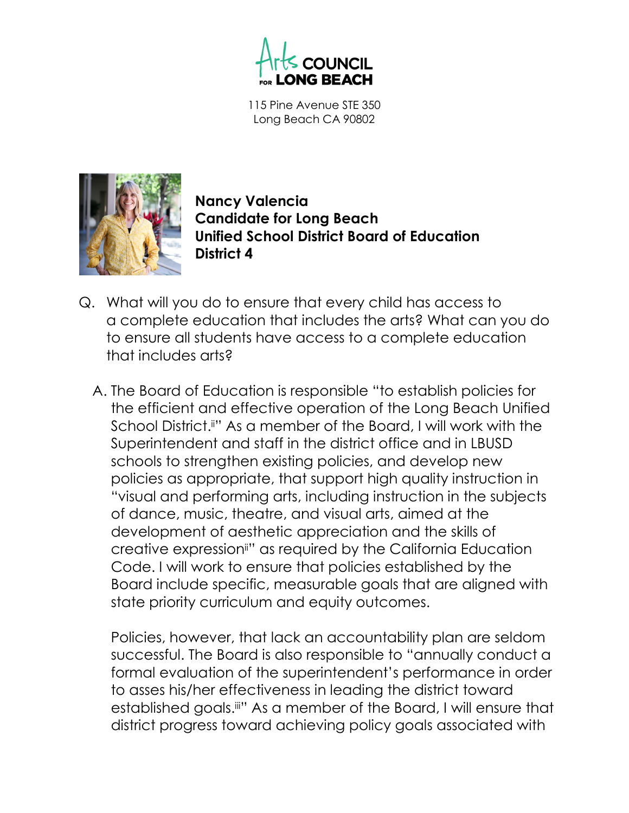

115 Pine Avenue STE 350 Long Beach CA 90802



**Nancy Valencia Candidate for Long Beach Unified School District Board of Education District 4**

- Q. What will you do to ensure that every child has access to a complete education that includes the arts? What can you do to ensure all students have access to a complete education that includes arts?
	- A. The Board of Education is responsible "to establish policies for the efficient and effective operation of the Long Beach Unified School District.<sup>ii''</sup> As a member of the Board, I will work with the Superintendent and staff in the district office and in LBUSD schools to strengthen existing policies, and develop new policies as appropriate, that support high quality instruction in "visual and performing arts, including instruction in the subjects of dance, music, theatre, and visual arts, aimed at the development of aesthetic appreciation and the skills of creative expressionii" as required by the California Education Code. I will work to ensure that policies established by the Board include specific, measurable goals that are aligned with state priority curriculum and equity outcomes.

Policies, however, that lack an accountability plan are seldom successful. The Board is also responsible to "annually conduct a formal evaluation of the superintendent's performance in order to asses his/her effectiveness in leading the district toward established goals.iii" As a member of the Board, I will ensure that district progress toward achieving policy goals associated with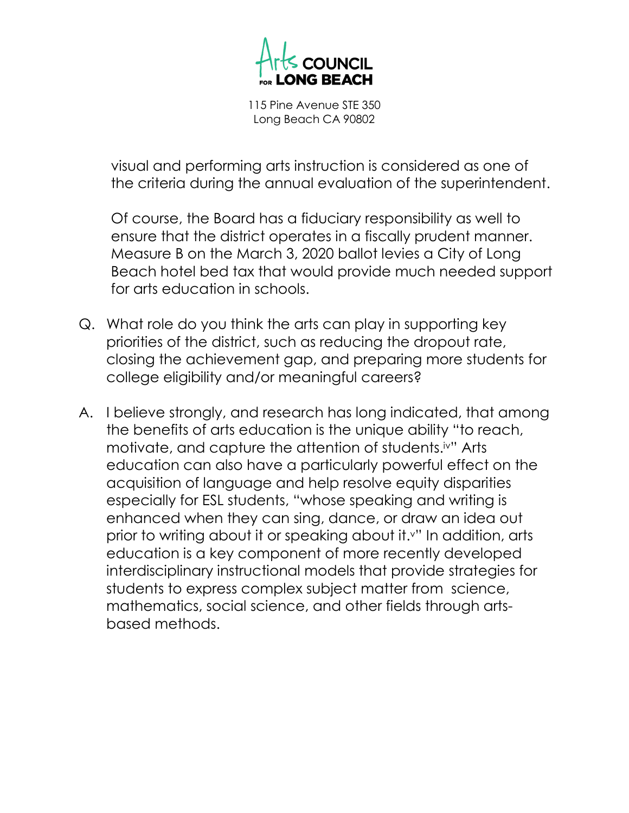

115 Pine Avenue STE 350 Long Beach CA 90802

visual and performing arts instruction is considered as one of the criteria during the annual evaluation of the superintendent.

Of course, the Board has a fiduciary responsibility as well to ensure that the district operates in a fiscally prudent manner. Measure B on the March 3, 2020 ballot levies a City of Long Beach hotel bed tax that would provide much needed support for arts education in schools.

- Q. What role do you think the arts can play in supporting key priorities of the district, such as reducing the dropout rate, closing the achievement gap, and preparing more students for college eligibility and/or meaningful careers?
- A. I believe strongly, and research has long indicated, that among the benefits of arts education is the unique ability "to reach, motivate, and capture the attention of students.iv" Arts education can also have a particularly powerful effect on the acquisition of language and help resolve equity disparities especially for ESL students, "whose speaking and writing is enhanced when they can sing, dance, or draw an idea out prior to writing about it or speaking about it.v" In addition, arts education is a key component of more recently developed interdisciplinary instructional models that provide strategies for students to express complex subject matter from science, mathematics, social science, and other fields through artsbased methods.